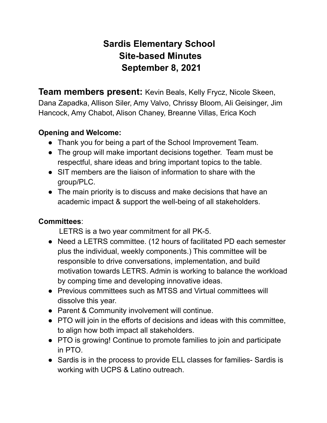# **Sardis Elementary School Site-based Minutes September 8, 2021**

**Team members present:** Kevin Beals, Kelly Frycz, Nicole Skeen, Dana Zapadka, Allison Siler, Amy Valvo, Chrissy Bloom, Ali Geisinger, Jim Hancock, Amy Chabot, Alison Chaney, Breanne Villas, Erica Koch

### **Opening and Welcome:**

- Thank you for being a part of the School Improvement Team.
- The group will make important decisions together. Team must be respectful, share ideas and bring important topics to the table.
- SIT members are the liaison of information to share with the group/PLC.
- The main priority is to discuss and make decisions that have an academic impact & support the well-being of all stakeholders.

#### **Committees**:

LETRS is a two year commitment for all PK-5.

- Need a LETRS committee. (12 hours of facilitated PD each semester plus the individual, weekly components.) This committee will be responsible to drive conversations, implementation, and build motivation towards LETRS. Admin is working to balance the workload by comping time and developing innovative ideas.
- Previous committees such as MTSS and Virtual committees will dissolve this year.
- Parent & Community involvement will continue.
- PTO will join in the efforts of decisions and ideas with this committee, to align how both impact all stakeholders.
- PTO is growing! Continue to promote families to join and participate in PTO.
- Sardis is in the process to provide ELL classes for families- Sardis is working with UCPS & Latino outreach.